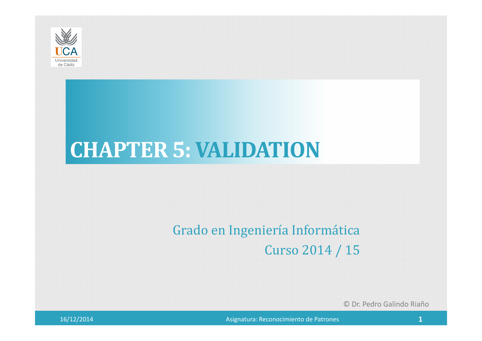

## **CHAPTER 5: VALIDATION**

## Grado en Ingeniería Informática

Curso 2014 / 15

© Dr. Pedro Galindo Riaño

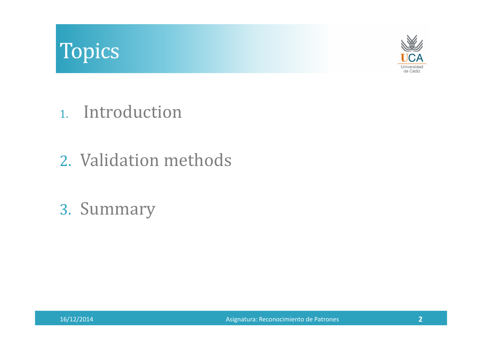## Topics



- 1. Introduction
- 2. Validation methods
- 3. Summary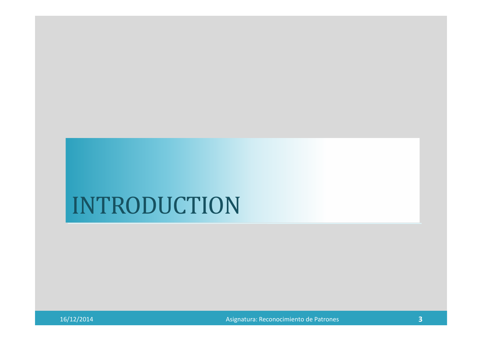## INTRODUCTION

16/12/2014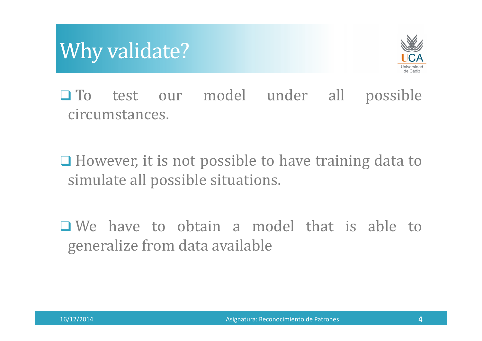## Why validate?



**O**To test our model under all possible circumstances.

□ However, it is not possible to have training data to simulate all possible situations.

 $\Box$  We have to obtain a model that is able to generalize from data available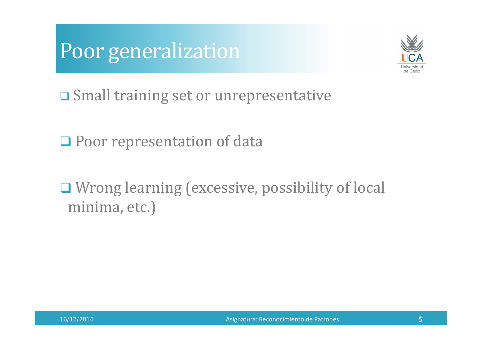



Small training set or unrepresentative

Q Poor representation of data

□ Wrong learning (excessive, possibility of local minima, etc.)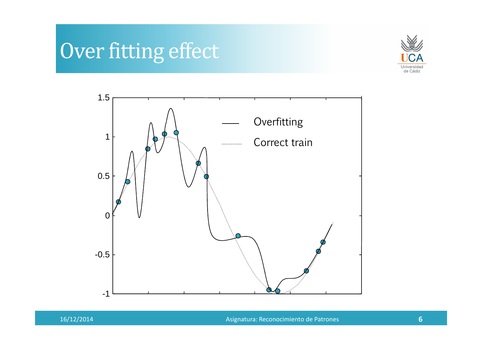## Over fitting effect





16/12/2014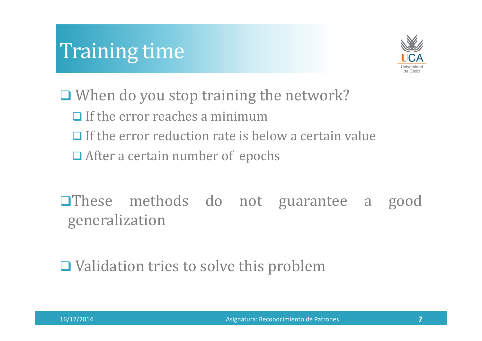## Training time



□ When do you stop training the network?  $\Box$  If the error reaches a minimum  $\Box$  If the error reduction rate is below a certain value **□** After a certain number of epochs

**OThese** methods do not guarantee a good generalization

**□ Validation tries to solve this problem**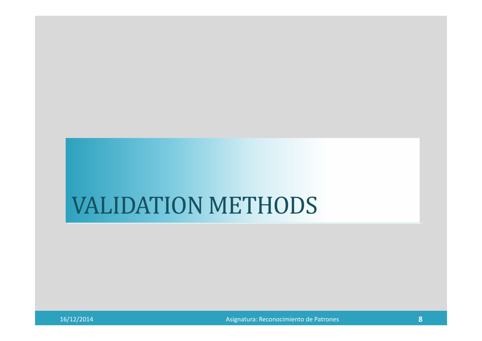## VALIDATION METHODS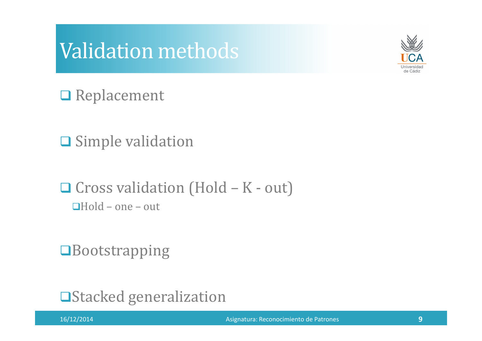### Validation methods



**□** Replacement

 $\square$  Simple validation

 $\Box$  Cross validation (Hold – K - out)  $\Box$ Hold – one – out

**OB**ootstrapping

**□Stacked generalization**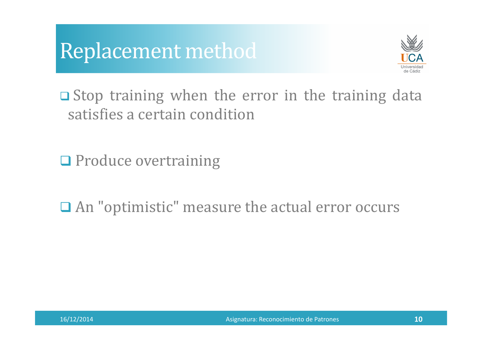



 $\square$  Stop training when the error in the training data satisfies <sup>a</sup> certain condition

O Produce overtraining

An "optimistic" measure the actual error occurs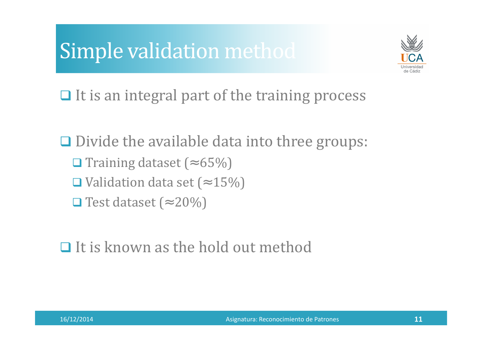## Simple validation method



 $\Box$  It is an integral part of the training process

Divide the available data into three groups: Training dataset (<sup>≈</sup> 65%) ■ Validation data set (≈ 15%)  $\Box$  Test dataset (≈ 20%)

## $\Box$  It is known as the hold out method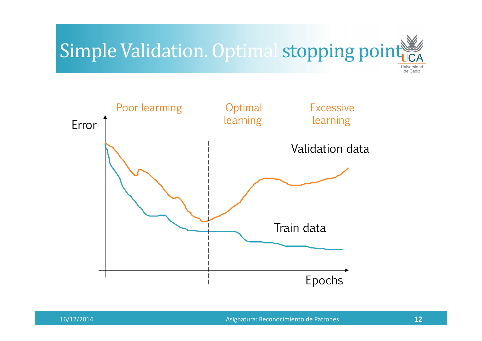## Simple Validation. Optimal stopping poin



Asignatura: Reconocimiento de Patrones **<sup>12</sup>**

de Cádiz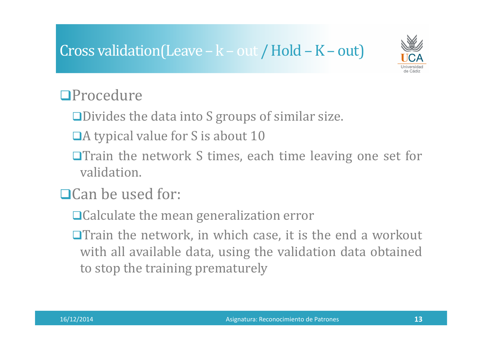#### Cross validation(Leave – k – out / Hold – K – out)



#### **OProcedure**

- Divides the data into <sup>S</sup> groups of similar size.
- $\Box$ A typical value for S is about 10
- $\Box$ Train the network S times, each time leaving one set for validation.
- $\Box$ Can be used for:
	- □ Calculate the mean generalization error
	- $\Box$ Train the network, in which case, it is the end a workout with all available data, using the validation data obtained to stop the training prematurely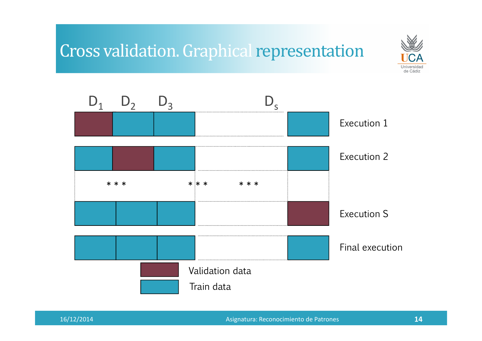#### Cross validation. Graphical representation



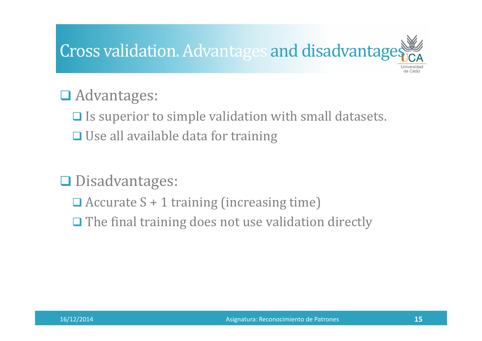# Cross validation. Advantages and disadvantage

## Advantages:

 $\Box$  Is superior to simple validation with small datasets. **□ Use all available data for training** 

## Disadvantages:

- Accurate <sup>S</sup> <sup>+</sup> <sup>1</sup> training (increasing time)
- $\Box$  The final training does not use validation directly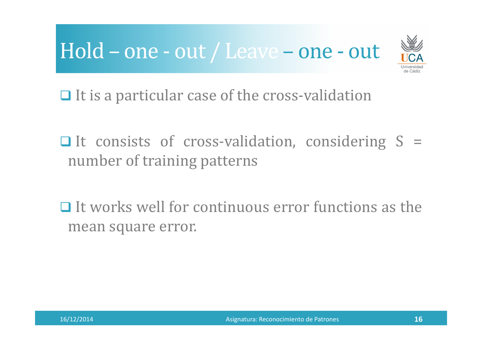## Hold – one - out / Leave – one - out



 $\Box$  It is a particular case of the cross-validation

 $\Box$  It consists of cross-validation, considering S = number of training patterns

 $\Box$  It works well for continuous error functions as the mean square error.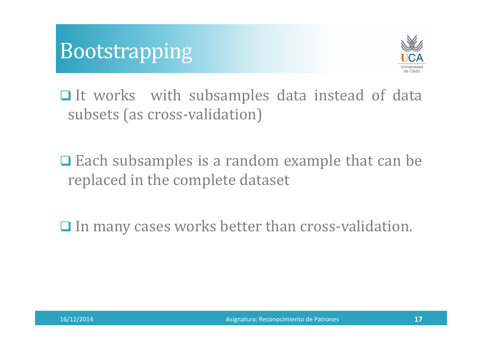### Bootstrapping



 $\Box$  It works with subsamples data instead of data subsets (as cross-validation)

 $\Box$  Each subsamples is a random example that can be real to the complete defeast. replaced in the complete dataset

 $\Box$  In many cases works better than cross-validation.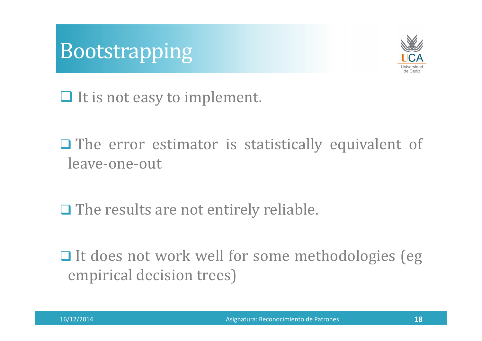



It is not easy to implement.

The error estimator is statistically equivalent of leave-one-out

 $\Box$  The results are not entirely reliable.

It does not work well for some methodologies (eg empirical decision trees)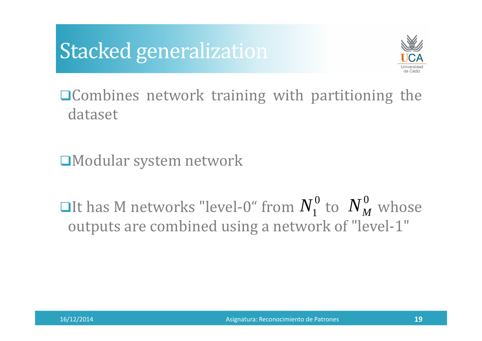## Stacked generalization



■ **■** Combines network training with partitioning the dataset

 $\square$ Modular system network

**Olt has M networks "level-0" from**  $N_1^{\circ}$  **to**  $N_M^{\circ}$  **whose** outputs are combined using <sup>a</sup> network of "level-1"  $N_1^0$  to  $N_M^0$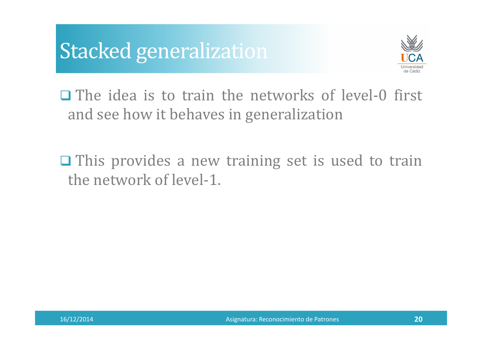## Stacked generalization



 $\Box$  The idea is to train the networks of level-0 first and see how it behaves in generalization

 $\Box$  This provides a new training set is used to train the network of level-1.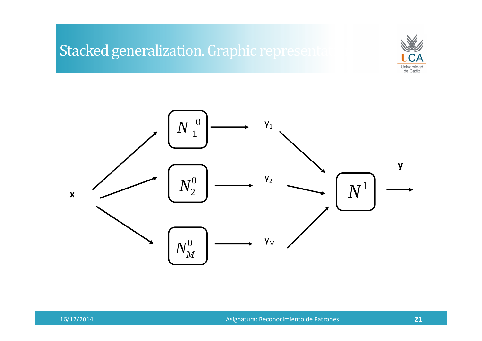#### Stacked generalization. Graphic represent



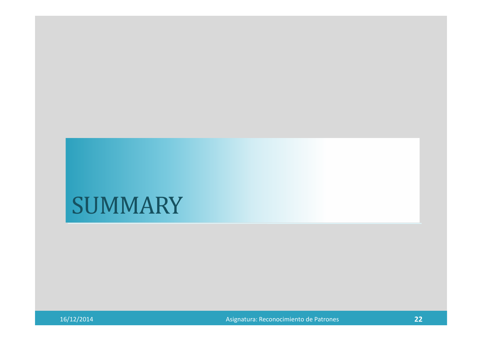## SUMMARY

16/12/2014